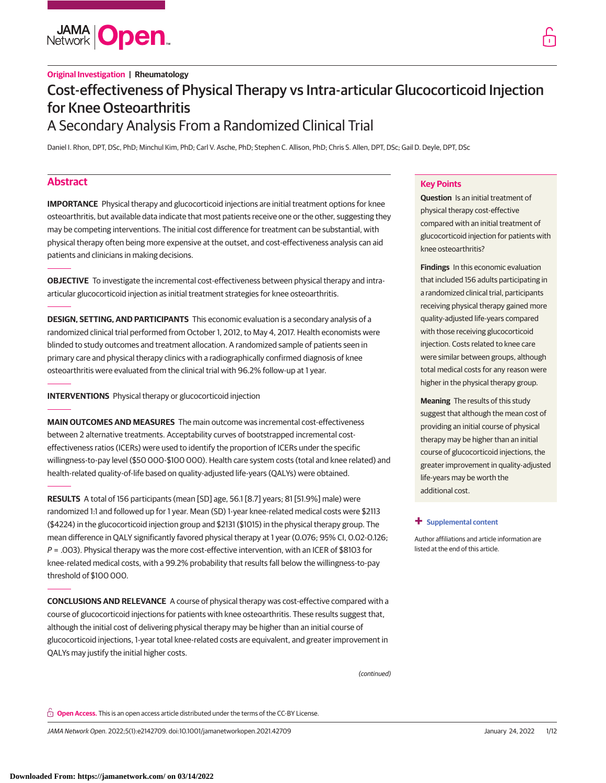

# **Original Investigation | Rheumatology** Cost-effectiveness of Physical Therapy vs Intra-articular Glucocorticoid Injection for Knee Osteoarthritis A Secondary Analysis From a Randomized Clinical Trial

Daniel I. Rhon, DPT, DSc, PhD; Minchul Kim, PhD; Carl V. Asche, PhD; Stephen C. Allison, PhD; Chris S. Allen, DPT, DSc; Gail D. Deyle, DPT, DSc

# **Abstract**

**IMPORTANCE** Physical therapy and glucocorticoid injections are initial treatment options for knee osteoarthritis, but available data indicate that most patients receive one or the other, suggesting they may be competing interventions. The initial cost difference for treatment can be substantial, with physical therapy often being more expensive at the outset, and cost-effectiveness analysis can aid patients and clinicians in making decisions.

**OBJECTIVE** To investigate the incremental cost-effectiveness between physical therapy and intraarticular glucocorticoid injection as initial treatment strategies for knee osteoarthritis.

**DESIGN, SETTING, AND PARTICIPANTS** This economic evaluation is a secondary analysis of a randomized clinical trial performed from October 1, 2012, to May 4, 2017. Health economists were blinded to study outcomes and treatment allocation. A randomized sample of patients seen in primary care and physical therapy clinics with a radiographically confirmed diagnosis of knee osteoarthritis were evaluated from the clinical trial with 96.2% follow-up at 1 year.

**INTERVENTIONS** Physical therapy or glucocorticoid injection

**MAIN OUTCOMES AND MEASURES** The main outcome was incremental cost-effectiveness between 2 alternative treatments. Acceptability curves of bootstrapped incremental costeffectiveness ratios (ICERs) were used to identify the proportion of ICERs under the specific willingness-to-pay level (\$50 000-\$100 000). Health care system costs (total and knee related) and health-related quality-of-life based on quality-adjusted life-years (QALYs) were obtained.

**RESULTS** A total of 156 participants (mean [SD] age, 56.1 [8.7] years; 81 [51.9%] male) were randomized 1:1 and followed up for 1 year. Mean (SD) 1-year knee-related medical costs were \$2113 (\$4224) in the glucocorticoid injection group and \$2131 (\$1015) in the physical therapy group. The mean difference in QALY significantly favored physical therapy at 1 year (0.076; 95% CI, 0.02-0.126;  $P = .003$ ). Physical therapy was the more cost-effective intervention, with an ICER of \$8103 for knee-related medical costs, with a 99.2% probability that results fall below the willingness-to-pay threshold of \$100 000.

**CONCLUSIONS AND RELEVANCE** A course of physical therapy was cost-effective compared with a course of glucocorticoid injections for patients with knee osteoarthritis. These results suggest that, although the initial cost of delivering physical therapy may be higher than an initial course of glucocorticoid injections, 1-year total knee-related costs are equivalent, and greater improvement in QALYs may justify the initial higher costs.

(continued)

**Open Access.** This is an open access article distributed under the terms of the CC-BY License.

JAMA Network Open. 2022;5(1):e2142709. doi:10.1001/jamanetworkopen.2021.42709 (Reprinted) January 24, 2022 1/12

# **Key Points**

**Question** Is an initial treatment of physical therapy cost-effective compared with an initial treatment of glucocorticoid injection for patients with knee osteoarthritis?

**Findings** In this economic evaluation that included 156 adults participating in a randomized clinical trial, participants receiving physical therapy gained more quality-adjusted life-years compared with those receiving glucocorticoid injection. Costs related to knee care were similar between groups, although total medical costs for any reason were higher in the physical therapy group.

**Meaning** The results of this study suggest that although the mean cost of providing an initial course of physical therapy may be higher than an initial course of glucocorticoid injections, the greater improvement in quality-adjusted life-years may be worth the additional cost.

## **+ [Supplemental content](https://jama.jamanetwork.com/article.aspx?doi=10.1001/jamanetworkopen.2021.42709&utm_campaign=articlePDF%26utm_medium=articlePDFlink%26utm_source=articlePDF%26utm_content=jamanetworkopen.2021.42709)**

Author affiliations and article information are listed at the end of this article.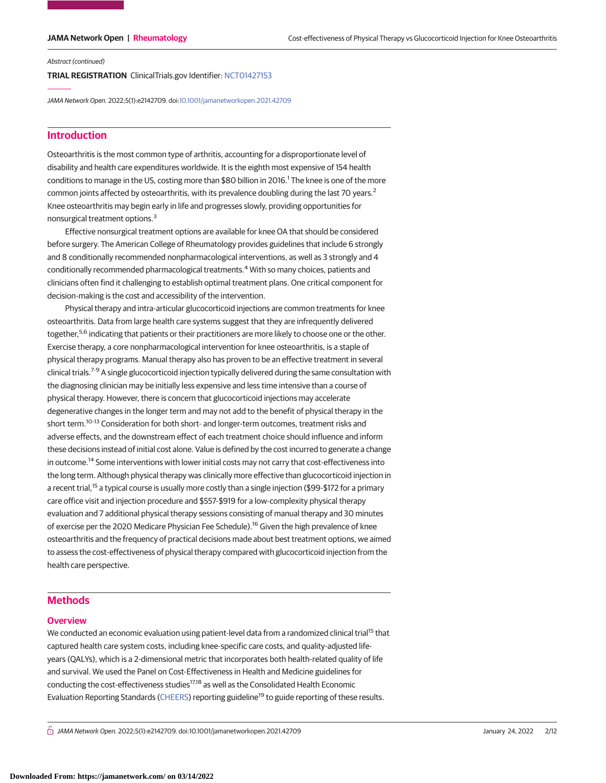# Abstract (continued)

**TRIAL REGISTRATION** ClinicalTrials.gov Identifier: [NCT01427153](https://www.clinicaltrials.gov/ct2/show/NCT01427153)

JAMA Network Open. 2022;5(1):e2142709. doi[:10.1001/jamanetworkopen.2021.42709](https://jama.jamanetwork.com/article.aspx?doi=10.1001/jamanetworkopen.2021.42709&utm_campaign=articlePDF%26utm_medium=articlePDFlink%26utm_source=articlePDF%26utm_content=jamanetworkopen.2021.42709)

# **Introduction**

Osteoarthritis is the most common type of arthritis, accounting for a disproportionate level of disability and health care expenditures worldwide. It is the eighth most expensive of 154 health conditions to manage in the US, costing more than \$80 billion in 2016.<sup>1</sup> The knee is one of the more common joints affected by osteoarthritis, with its prevalence doubling during the last 70 years.<sup>2</sup> Knee osteoarthritis may begin early in life and progresses slowly, providing opportunities for nonsurgical treatment options.<sup>3</sup>

Effective nonsurgical treatment options are available for knee OA that should be considered before surgery. The American College of Rheumatology provides guidelines that include 6 strongly and 8 conditionally recommended nonpharmacological interventions, as well as 3 strongly and 4 conditionally recommended pharmacological treatments.<sup>4</sup> With so many choices, patients and clinicians often find it challenging to establish optimal treatment plans. One critical component for decision-making is the cost and accessibility of the intervention.

Physical therapy and intra-articular glucocorticoid injections are common treatments for knee osteoarthritis. Data from large health care systems suggest that they are infrequently delivered together,<sup>5,6</sup> indicating that patients or their practitioners are more likely to choose one or the other. Exercise therapy, a core nonpharmacological intervention for knee osteoarthritis, is a staple of physical therapy programs. Manual therapy also has proven to be an effective treatment in several clinical trials.<sup>7-9</sup> A single glucocorticoid injection typically delivered during the same consultation with the diagnosing clinician may be initially less expensive and less time intensive than a course of physical therapy. However, there is concern that glucocorticoid injections may accelerate degenerative changes in the longer term and may not add to the benefit of physical therapy in the short term.<sup>10-13</sup> Consideration for both short- and longer-term outcomes, treatment risks and adverse effects, and the downstream effect of each treatment choice should influence and inform these decisions instead of initial cost alone. Value is defined by the cost incurred to generate a change in outcome.<sup>14</sup> Some interventions with lower initial costs may not carry that cost-effectiveness into the long term. Although physical therapy was clinically more effective than glucocorticoid injection in a recent trial,<sup>15</sup> a typical course is usually more costly than a single injection (\$99-\$172 for a primary care office visit and injection procedure and \$557-\$919 for a low-complexity physical therapy evaluation and 7 additional physical therapy sessions consisting of manual therapy and 30 minutes of exercise per the 2020 Medicare Physician Fee Schedule).<sup>16</sup> Given the high prevalence of knee osteoarthritis and the frequency of practical decisions made about best treatment options, we aimed to assess the cost-effectiveness of physical therapy compared with glucocorticoid injection from the health care perspective.

# **Methods**

# **Overview**

We conducted an economic evaluation using patient-level data from a randomized clinical trial<sup>15</sup> that captured health care system costs, including knee-specific care costs, and quality-adjusted lifeyears (QALYs), which is a 2-dimensional metric that incorporates both health-related quality of life and survival. We used the Panel on Cost-Effectiveness in Health and Medicine guidelines for conducting the cost-effectiveness studies<sup>17,18</sup> as well as the Consolidated Health Economic Evaluation Reporting Standards [\(CHEERS\)](http://www.equator-network.org/reporting-guidelines/cheers/) reporting guideline<sup>19</sup> to guide reporting of these results.

 $\bigcap$  JAMA Network Open. 2022;5(1):e2142709. doi:10.1001/jamanetworkopen.2021.42709 (Berlined) January 24, 2022 2/12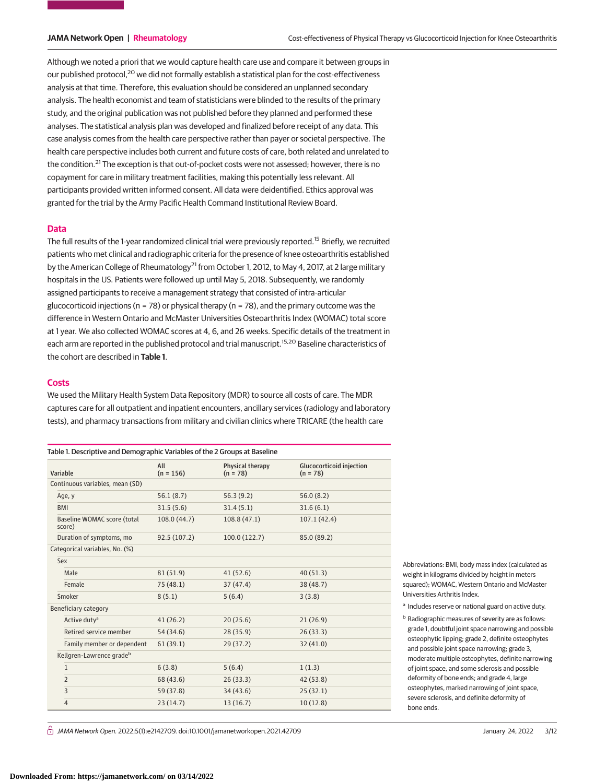Although we noted a priori that we would capture health care use and compare it between groups in our published protocol,<sup>20</sup> we did not formally establish a statistical plan for the cost-effectiveness analysis at that time. Therefore, this evaluation should be considered an unplanned secondary analysis. The health economist and team of statisticians were blinded to the results of the primary study, and the original publication was not published before they planned and performed these analyses. The statistical analysis plan was developed and finalized before receipt of any data. This case analysis comes from the health care perspective rather than payer or societal perspective. The health care perspective includes both current and future costs of care, both related and unrelated to the condition.<sup>21</sup> The exception is that out-of-pocket costs were not assessed; however, there is no copayment for care in military treatment facilities, making this potentially less relevant. All participants provided written informed consent. All data were deidentified. Ethics approval was granted for the trial by the Army Pacific Health Command Institutional Review Board.

# **Data**

The full results of the 1-year randomized clinical trial were previously reported.<sup>15</sup> Briefly, we recruited patients who met clinical and radiographic criteria for the presence of knee osteoarthritis established by the American College of Rheumatology<sup>21</sup> from October 1, 2012, to May 4, 2017, at 2 large military hospitals in the US. Patients were followed up until May 5, 2018. Subsequently, we randomly assigned participants to receive a management strategy that consisted of intra-articular glucocorticoid injections ( $n = 78$ ) or physical therapy ( $n = 78$ ), and the primary outcome was the difference in Western Ontario and McMaster Universities Osteoarthritis Index (WOMAC) total score at 1 year. We also collected WOMAC scores at 4, 6, and 26 weeks. Specific details of the treatment in each arm are reported in the published protocol and trial manuscript.<sup>15,20</sup> Baseline characteristics of the cohort are described in **Table 1**.

# **Costs**

We used the Military Health System Data Repository (MDR) to source all costs of care. The MDR captures care for all outpatient and inpatient encounters, ancillary services (radiology and laboratory tests), and pharmacy transactions from military and civilian clinics where TRICARE (the health care

| Table 1. Descriptive and Demographic Variables of the 2 Groups at Baseline |                                |                    |                                |                                               |  |  |  |  |  |
|----------------------------------------------------------------------------|--------------------------------|--------------------|--------------------------------|-----------------------------------------------|--|--|--|--|--|
| Variable                                                                   |                                | All<br>$(n = 156)$ | Physical therapy<br>$(n = 78)$ | <b>Glucocorticoid injection</b><br>$(n = 78)$ |  |  |  |  |  |
| Continuous variables, mean (SD)                                            |                                |                    |                                |                                               |  |  |  |  |  |
| Age, y                                                                     |                                | 56.1(8.7)          | 56.3(9.2)                      | 56.0(8.2)                                     |  |  |  |  |  |
| <b>BMI</b>                                                                 |                                | 31.5(5.6)          | 31.4(5.1)                      | 31.6(6.1)                                     |  |  |  |  |  |
| Baseline WOMAC score (total<br>score)                                      |                                | 108.0 (44.7)       | 108.8(47.1)                    | 107.1(42.4)                                   |  |  |  |  |  |
| Duration of symptoms, mo                                                   |                                | 92.5 (107.2)       | 100.0(122.7)                   | 85.0 (89.2)                                   |  |  |  |  |  |
|                                                                            | Categorical variables, No. (%) |                    |                                |                                               |  |  |  |  |  |
| Sex                                                                        |                                |                    |                                |                                               |  |  |  |  |  |
| Male                                                                       |                                | 81 (51.9)          | 41(52.6)                       | 40(51.3)                                      |  |  |  |  |  |
| Female                                                                     |                                | 75(48.1)           | 37(47.4)                       | 38 (48.7)                                     |  |  |  |  |  |
| Smoker                                                                     |                                | 8(5.1)             | 5(6.4)                         | 3(3.8)                                        |  |  |  |  |  |
| Beneficiary category                                                       |                                |                    |                                |                                               |  |  |  |  |  |
| Active duty <sup>a</sup>                                                   |                                | 41(26.2)           | 20(25.6)                       | 21(26.9)                                      |  |  |  |  |  |
|                                                                            | Retired service member         | 54 (34.6)          | 28(35.9)                       | 26(33.3)                                      |  |  |  |  |  |
|                                                                            | Family member or dependent     | 61(39.1)           | 29(37.2)                       | 32(41.0)                                      |  |  |  |  |  |
|                                                                            | Kellgren-Lawrence gradeb       |                    |                                |                                               |  |  |  |  |  |
| $\mathbf{1}$                                                               |                                | 6(3.8)             | 5(6.4)                         | 1(1.3)                                        |  |  |  |  |  |
| $\overline{2}$                                                             |                                | 68 (43.6)          | 26(33.3)                       | 42 (53.8)                                     |  |  |  |  |  |
| 3                                                                          |                                | 59 (37.8)          | 34(43.6)                       | 25(32.1)                                      |  |  |  |  |  |
| $\overline{4}$                                                             |                                | 23(14.7)           | 13(16.7)                       | 10(12.8)                                      |  |  |  |  |  |

Abbreviations: BMI, body mass index (calculated as weight in kilograms divided by height in meters squared); WOMAC, Western Ontario and McMaster Universities Arthritis Index.

a Includes reserve or national guard on active duty.

**b** Radiographic measures of severity are as follows: grade 1, doubtful joint space narrowing and possible osteophytic lipping; grade 2, definite osteophytes and possible joint space narrowing; grade 3, moderate multiple osteophytes, definite narrowing of joint space, and some sclerosis and possible deformity of bone ends; and grade 4, large osteophytes, marked narrowing of joint space, severe sclerosis, and definite deformity of bone ends.

 $\stackrel{\frown}{\Box}$  JAMA Network Open. 2022;5(1):e2142709. doi:10.1001/jamanetworkopen.2021.42709 (Reprinted) January 24, 2022 3/12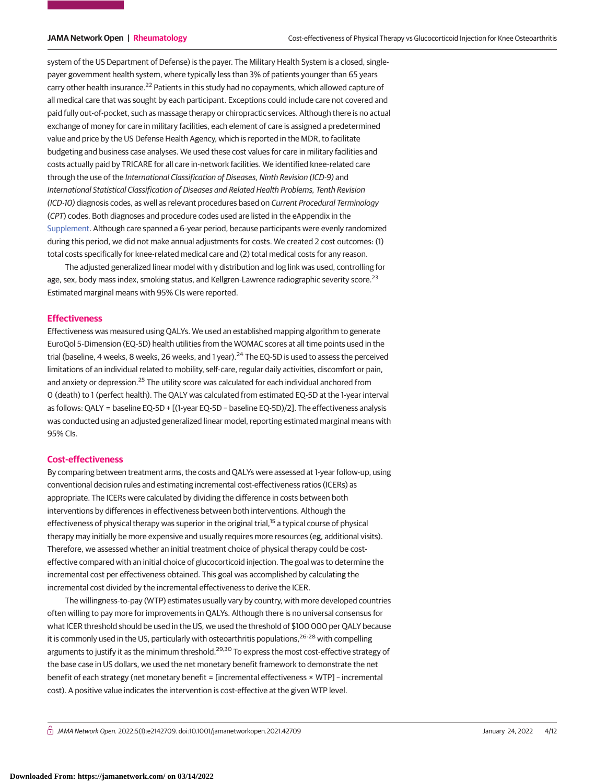system of the US Department of Defense) is the payer. The Military Health System is a closed, singlepayer government health system, where typically less than 3% of patients younger than 65 years carry other health insurance.<sup>22</sup> Patients in this study had no copayments, which allowed capture of all medical care that was sought by each participant. Exceptions could include care not covered and paid fully out-of-pocket, such as massage therapy or chiropractic services. Although there is no actual exchange of money for care in military facilities, each element of care is assigned a predetermined value and price by the US Defense Health Agency, which is reported in the MDR, to facilitate budgeting and business case analyses. We used these cost values for care in military facilities and costs actually paid by TRICARE for all care in-network facilities. We identified knee-related care through the use of the International Classification of Diseases, Ninth Revision (ICD-9) and International Statistical Classification of Diseases and Related Health Problems, Tenth Revision (ICD-10) diagnosis codes, as well as relevant procedures based on Current Procedural Terminology (CPT) codes. Both diagnoses and procedure codes used are listed in the eAppendix in the [Supplement.](https://jama.jamanetwork.com/article.aspx?doi=10.1001/jamanetworkopen.2021.42709&utm_campaign=articlePDF%26utm_medium=articlePDFlink%26utm_source=articlePDF%26utm_content=jamanetworkopen.2021.42709) Although care spanned a 6-year period, because participants were evenly randomized during this period, we did not make annual adjustments for costs. We created 2 cost outcomes: (1) total costs specifically for knee-related medical care and (2) total medical costs for any reason.

The adjusted generalized linear model with γ distribution and log link was used, controlling for age, sex, body mass index, smoking status, and Kellgren-Lawrence radiographic severity score.<sup>23</sup> Estimated marginal means with 95% CIs were reported.

# **Effectiveness**

Effectiveness was measured using QALYs. We used an established mapping algorithm to generate EuroQol 5-Dimension (EQ-5D) health utilities from the WOMAC scores at all time points used in the trial (baseline, 4 weeks, 8 weeks, 26 weeks, and 1 year).<sup>24</sup> The EQ-5D is used to assess the perceived limitations of an individual related to mobility, self-care, regular daily activities, discomfort or pain, and anxiety or depression.<sup>25</sup> The utility score was calculated for each individual anchored from 0 (death) to 1 (perfect health). The QALY was calculated from estimated EQ-5D at the 1-year interval as follows: QALY = baseline EQ-5D + [(1-year EQ-5D − baseline EQ-5D)/2]. The effectiveness analysis was conducted using an adjusted generalized linear model, reporting estimated marginal means with 95% CIs.

# **Cost-effectiveness**

By comparing between treatment arms, the costs and QALYs were assessed at 1-year follow-up, using conventional decision rules and estimating incremental cost-effectiveness ratios (ICERs) as appropriate. The ICERs were calculated by dividing the difference in costs between both interventions by differences in effectiveness between both interventions. Although the effectiveness of physical therapy was superior in the original trial,<sup>15</sup> a typical course of physical therapy may initially be more expensive and usually requires more resources (eg, additional visits). Therefore, we assessed whether an initial treatment choice of physical therapy could be costeffective compared with an initial choice of glucocorticoid injection. The goal was to determine the incremental cost per effectiveness obtained. This goal was accomplished by calculating the incremental cost divided by the incremental effectiveness to derive the ICER.

The willingness-to-pay (WTP) estimates usually vary by country, with more developed countries often willing to pay more for improvements in QALYs. Although there is no universal consensus for what ICER threshold should be used in the US, we used the threshold of \$100 000 per QALY because it is commonly used in the US, particularly with osteoarthritis populations,<sup>26-28</sup> with compelling arguments to justify it as the minimum threshold.<sup>29,30</sup> To express the most cost-effective strategy of the base case in US dollars, we used the net monetary benefit framework to demonstrate the net benefit of each strategy (net monetary benefit = [incremental effectiveness × WTP] – incremental cost). A positive value indicates the intervention is cost-effective at the given WTP level.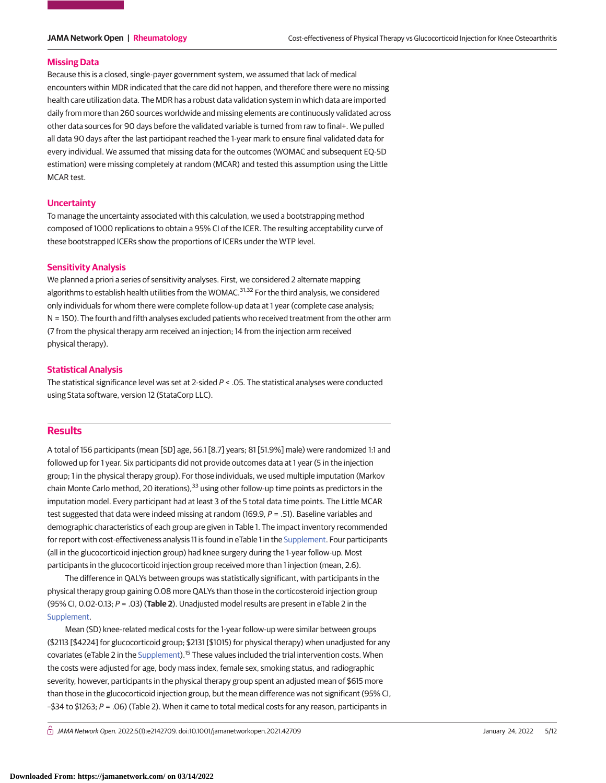### **Missing Data**

Because this is a closed, single-payer government system, we assumed that lack of medical encounters within MDR indicated that the care did not happen, and therefore there were no missing health care utilization data. The MDR has a robust data validation system in which data are imported daily from more than 260 sources worldwide and missing elements are continuously validated across other data sources for 90 days before the validated variable is turned from raw to final+. We pulled all data 90 days after the last participant reached the 1-year mark to ensure final validated data for every individual. We assumed that missing data for the outcomes (WOMAC and subsequent EQ-5D estimation) were missing completely at random (MCAR) and tested this assumption using the Little MCAR test.

# **Uncertainty**

To manage the uncertainty associated with this calculation, we used a bootstrapping method composed of 1000 replications to obtain a 95% CI of the ICER. The resulting acceptability curve of these bootstrapped ICERs show the proportions of ICERs under the WTP level.

# **Sensitivity Analysis**

We planned a priori a series of sensitivity analyses. First, we considered 2 alternate mapping algorithms to establish health utilities from the WOMAC.<sup>31,32</sup> For the third analysis, we considered only individuals for whom there were complete follow-up data at 1 year (complete case analysis; N = 150). The fourth and fifth analyses excluded patients who received treatment from the other arm (7 from the physical therapy arm received an injection; 14 from the injection arm received physical therapy).

# **Statistical Analysis**

The statistical significance level was set at 2-sided  $P < .05$ . The statistical analyses were conducted using Stata software, version 12 (StataCorp LLC).

# **Results**

A total of 156 participants (mean [SD] age, 56.1 [8.7] years; 81 [51.9%] male) were randomized 1:1 and followed up for 1 year. Six participants did not provide outcomes data at 1 year (5 in the injection group; 1 in the physical therapy group). For those individuals, we used multiple imputation (Markov chain Monte Carlo method, 20 iterations), $33$  using other follow-up time points as predictors in the imputation model. Every participant had at least 3 of the 5 total data time points. The Little MCAR test suggested that data were indeed missing at random (169.9, P = .51). Baseline variables and demographic characteristics of each group are given in Table 1. The impact inventory recommended for report with cost-effectiveness analysis 11 is found in eTable 1 in the [Supplement.](https://jama.jamanetwork.com/article.aspx?doi=10.1001/jamanetworkopen.2021.42709&utm_campaign=articlePDF%26utm_medium=articlePDFlink%26utm_source=articlePDF%26utm_content=jamanetworkopen.2021.42709) Four participants (all in the glucocorticoid injection group) had knee surgery during the 1-year follow-up. Most participants in the glucocorticoid injection group received more than 1 injection (mean, 2.6).

The difference in QALYs between groups was statistically significant, with participants in the physical therapy group gaining 0.08 more QALYs than those in the corticosteroid injection group (95% CI, 0.02-0.13; P = .03) (**Table 2**). Unadjusted model results are present in eTable 2 in the [Supplement.](https://jama.jamanetwork.com/article.aspx?doi=10.1001/jamanetworkopen.2021.42709&utm_campaign=articlePDF%26utm_medium=articlePDFlink%26utm_source=articlePDF%26utm_content=jamanetworkopen.2021.42709)

Mean (SD) knee-related medical costs for the 1-year follow-up were similar between groups (\$2113 [\$4224] for glucocorticoid group; \$2131 [\$1015) for physical therapy) when unadjusted for any covariates (eTable 2 in the [Supplement\)](https://jama.jamanetwork.com/article.aspx?doi=10.1001/jamanetworkopen.2021.42709&utm_campaign=articlePDF%26utm_medium=articlePDFlink%26utm_source=articlePDF%26utm_content=jamanetworkopen.2021.42709).15 These values included the trial intervention costs. When the costs were adjusted for age, body mass index, female sex, smoking status, and radiographic severity, however, participants in the physical therapy group spent an adjusted mean of \$615 more than those in the glucocorticoid injection group, but the mean difference was not significant (95% CI, –\$34 to \$1263; P = .06) (Table 2). When it came to total medical costs for any reason, participants in

 $\bigcap$  JAMA Network Open. 2022;5(1):e2142709. doi:10.1001/jamanetworkopen.2021.42709 (Berlined) January 24, 2022 5/12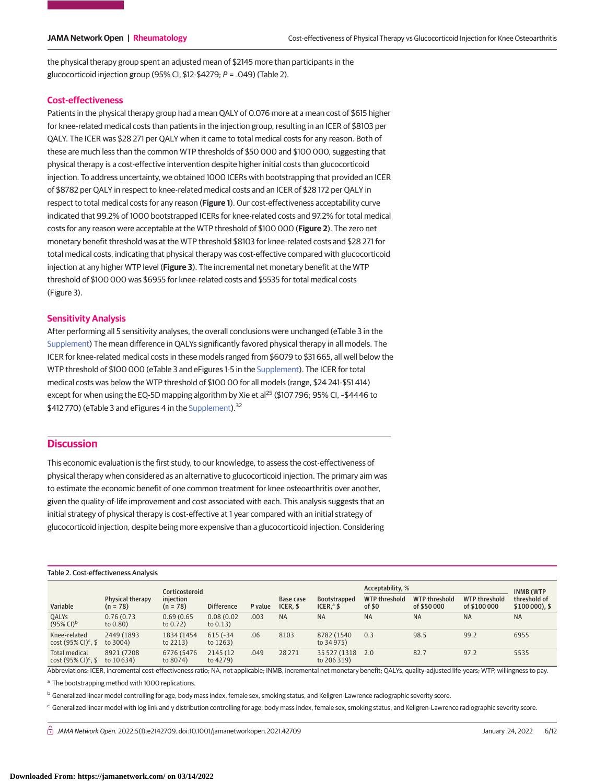the physical therapy group spent an adjusted mean of \$2145 more than participants in the glucocorticoid injection group (95% CI, \$12-\$4279; P = .049) (Table 2).

# **Cost-effectiveness**

Patients in the physical therapy group had a mean QALY of 0.076 more at a mean cost of \$615 higher for knee-related medical costs than patients in the injection group, resulting in an ICER of \$8103 per QALY. The ICER was \$28 271 per QALY when it came to total medical costs for any reason. Both of these are much less than the common WTP thresholds of \$50 000 and \$100 000, suggesting that physical therapy is a cost-effective intervention despite higher initial costs than glucocorticoid injection. To address uncertainty, we obtained 1000 ICERs with bootstrapping that provided an ICER of \$8782 per QALY in respect to knee-related medical costs and an ICER of \$28 172 per QALY in respect to total medical costs for any reason (**Figure 1**). Our cost-effectiveness acceptability curve indicated that 99.2% of 1000 bootstrapped ICERs for knee-related costs and 97.2% for total medical costs for any reason were acceptable at the WTP threshold of \$100 000 (**Figure 2**). The zero net monetary benefit threshold was at the WTP threshold \$8103 for knee-related costs and \$28 271 for total medical costs, indicating that physical therapy was cost-effective compared with glucocorticoid injection at any higher WTP level (**Figure 3**). The incremental net monetary benefit at the WTP threshold of \$100 000 was \$6955 for knee-related costs and \$5535 for total medical costs (Figure 3).

# **Sensitivity Analysis**

After performing all 5 sensitivity analyses, the overall conclusions were unchanged (eTable 3 in the [Supplement\)](https://jama.jamanetwork.com/article.aspx?doi=10.1001/jamanetworkopen.2021.42709&utm_campaign=articlePDF%26utm_medium=articlePDFlink%26utm_source=articlePDF%26utm_content=jamanetworkopen.2021.42709) The mean difference in QALYs significantly favored physical therapy in all models. The ICER for knee-related medical costs in these models ranged from \$6079 to \$31 665, all well below the WTP threshold of \$100 000 (eTable 3 and eFigures 1-5 in the [Supplement\)](https://jama.jamanetwork.com/article.aspx?doi=10.1001/jamanetworkopen.2021.42709&utm_campaign=articlePDF%26utm_medium=articlePDFlink%26utm_source=articlePDF%26utm_content=jamanetworkopen.2021.42709). The ICER for total medical costs was below the WTP threshold of \$100 00 for all models (range, \$24 241-\$51 414) except for when using the EQ-5D mapping algorithm by Xie et al<sup>25</sup> (\$107 796; 95% CI, -\$4446 to \$412 770) (eTable 3 and eFigures 4 in the [Supplement\)](https://jama.jamanetwork.com/article.aspx?doi=10.1001/jamanetworkopen.2021.42709&utm_campaign=articlePDF%26utm_medium=articlePDFlink%26utm_source=articlePDF%26utm_content=jamanetworkopen.2021.42709).<sup>32</sup>

# **Discussion**

This economic evaluation is the first study, to our knowledge, to assess the cost-effectiveness of physical therapy when considered as an alternative to glucocorticoid injection. The primary aim was to estimate the economic benefit of one common treatment for knee osteoarthritis over another, given the quality-of-life improvement and cost associated with each. This analysis suggests that an initial strategy of physical therapy is cost-effective at 1 year compared with an initial strategy of glucocorticoid injection, despite being more expensive than a glucocorticoid injection. Considering

# Table 2. Cost-effectiveness Analysis

|                                                            |                                | Corticosteroid            |                           |         |                       | <b>Bootstrapped</b><br>ICER, $^{\circ}$ \$ | Acceptability, %                |                                     | <b>INMB (WTP)</b>             |                              |
|------------------------------------------------------------|--------------------------------|---------------------------|---------------------------|---------|-----------------------|--------------------------------------------|---------------------------------|-------------------------------------|-------------------------------|------------------------------|
| Variable                                                   | Physical therapy<br>$(n = 78)$ | iniection<br>$(n = 78)$   | <b>Difference</b>         | P value | Base case<br>ICER. \$ |                                            | <b>WTP threshold</b><br>of $$0$ | <b>WTP threshold</b><br>of \$50 000 | WTP threshold<br>of \$100 000 | threshold of<br>\$100000, \$ |
| QALYS<br>$(95\% \text{ Cl})^b$                             | 0.76(0.73)<br>to 0.80)         | 0.69(0.65)<br>to $0.72$ ) | 0.08(0.02)<br>to $0.13$ ) | .003    | <b>NA</b>             | <b>NA</b>                                  | <b>NA</b>                       | <b>NA</b>                           | <b>NA</b>                     | <b>NA</b>                    |
| Knee-related<br>cost $(95% Cl)^c$ , \$                     | 2449 (1893)<br>to 3004)        | 1834 (1454<br>to $2213$ ) | $615(-34)$<br>to $1263$ ) | .06     | 8103                  | 8782 (1540)<br>to 34 975)                  | 0.3                             | 98.5                                | 99.2                          | 6955                         |
| <b>Total medical</b><br>cost $(95\%$ CI) <sup>c</sup> , \$ | 8921 (7208)<br>to 10 634)      | 6776 (5476<br>to 8074)    | 2145 (12)<br>to 4279)     | .049    | 28 27 1               | 35 527 (1318 2.0<br>to 206 319)            |                                 | 82.7                                | 97.2                          | 5535                         |

Abbreviations: ICER, incremental cost-effectiveness ratio; NA, not applicable; INMB, incremental net monetary benefit; QALYs, quality-adjusted life-years; WTP, willingness to pay.

<sup>a</sup> The bootstrapping method with 1000 replications.

<sup>b</sup> Generalized linear model controlling for age, body mass index, female sex, smoking status, and Kellgren-Lawrence radiographic severity score.

<sup>c</sup> Generalized linear model with log link and γ distribution controlling for age, body mass index, female sex, smoking status, and Kellgren-Lawrence radiographic severity score.

 $\bigcap$  JAMA Network Open. 2022;5(1):e2142709. doi:10.1001/jamanetworkopen.2021.42709 (Berlined) January 24, 2022 6/12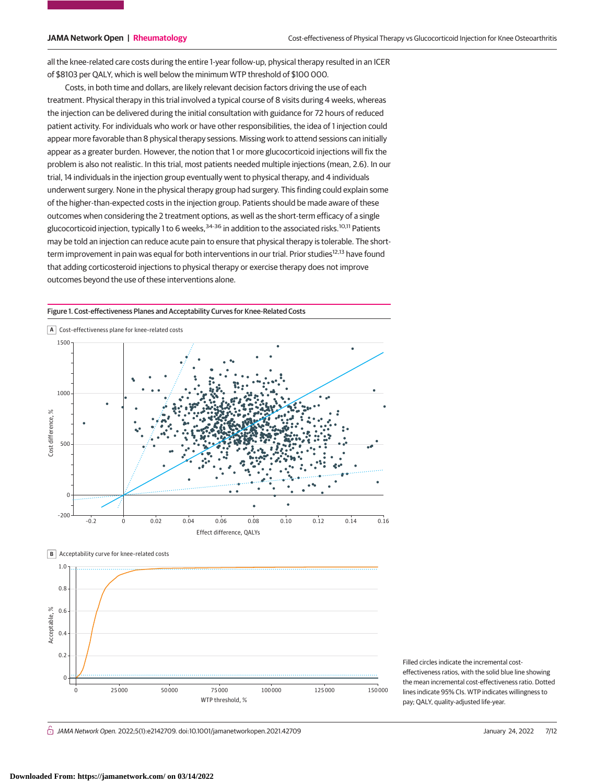all the knee-related care costs during the entire 1-year follow-up, physical therapy resulted in an ICER of \$8103 per QALY, which is well below the minimum WTP threshold of \$100 000.

Costs, in both time and dollars, are likely relevant decision factors driving the use of each treatment. Physical therapy in this trial involved a typical course of 8 visits during 4 weeks, whereas the injection can be delivered during the initial consultation with guidance for 72 hours of reduced patient activity. For individuals who work or have other responsibilities, the idea of 1 injection could appear more favorable than 8 physical therapy sessions. Missing work to attend sessions can initially appear as a greater burden. However, the notion that 1 or more glucocorticoid injections will fix the problem is also not realistic. In this trial, most patients needed multiple injections (mean, 2.6). In our trial, 14 individuals in the injection group eventually went to physical therapy, and 4 individuals underwent surgery. None in the physical therapy group had surgery. This finding could explain some of the higher-than-expected costs in the injection group. Patients should be made aware of these outcomes when considering the 2 treatment options, as well as the short-term efficacy of a single glucocorticoid injection, typically 1 to 6 weeks,<sup>34-36</sup> in addition to the associated risks.<sup>10,11</sup> Patients may be told an injection can reduce acute pain to ensure that physical therapy is tolerable. The shortterm improvement in pain was equal for both interventions in our trial. Prior studies<sup>12,13</sup> have found that adding corticosteroid injections to physical therapy or exercise therapy does not improve outcomes beyond the use of these interventions alone.

Figure 1. Cost-effectiveness Planes and Acceptability Curves for Knee-Related Costs





Filled circles indicate the incremental costeffectiveness ratios, with the solid blue line showing the mean incremental cost-effectiveness ratio. Dotted lines indicate 95% CIs. WTP indicates willingness to pay; QALY, quality-adjusted life-year.

 $\bigcap$  JAMA Network Open. 2022;5(1):e2142709. doi:10.1001/jamanetworkopen.2021.42709 (Berlined) January 24, 2022 7/12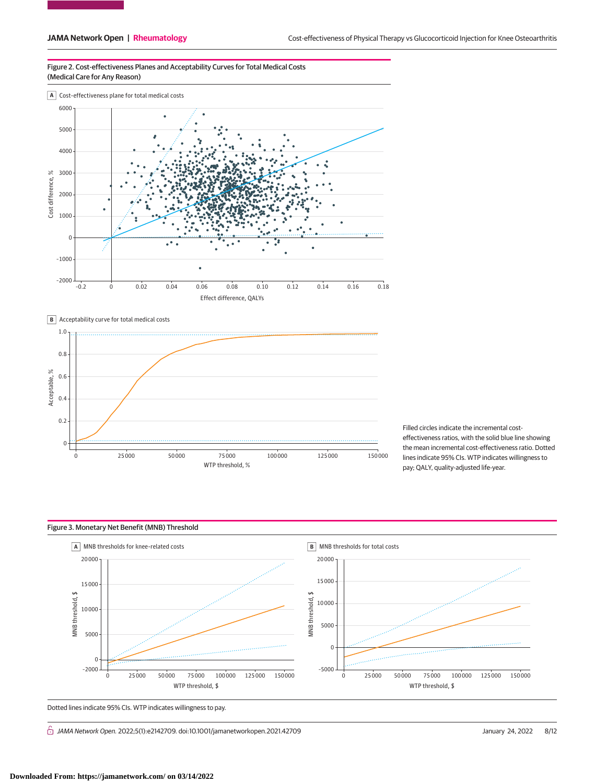Figure 2. Cost-effectiveness Planes and Acceptability Curves for Total Medical Costs (Medical Care for Any Reason)







Filled circles indicate the incremental costeffectiveness ratios, with the solid blue line showing the mean incremental cost-effectiveness ratio. Dotted lines indicate 95% CIs. WTP indicates willingness to pay; QALY, quality-adjusted life-year.



Dotted lines indicate 95% CIs. WTP indicates willingness to pay.

 $\hat{\Box}$  JAMA Network Open. 2022;5(1):e2142709. doi:10.1001/jamanetworkopen.2021.42709 (Reprinted) January 24, 2022 8/12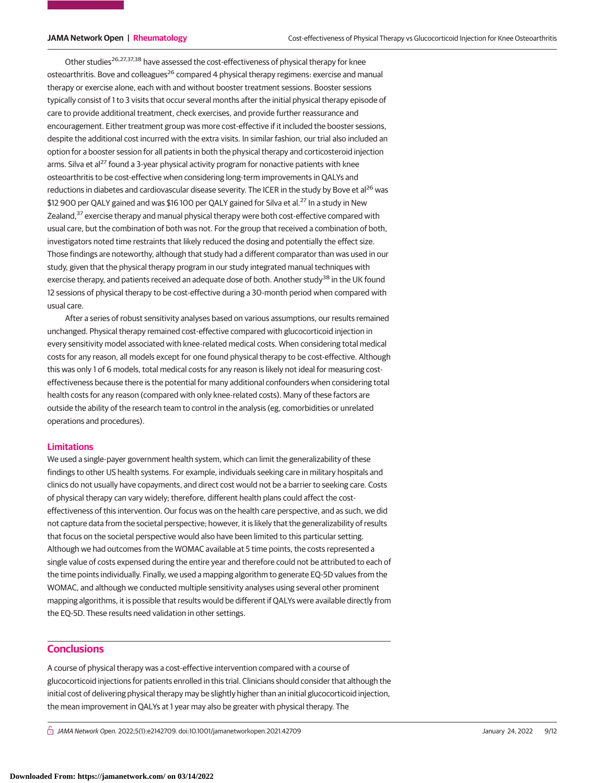Other studies<sup>26,27,37,38</sup> have assessed the cost-effectiveness of physical therapy for knee osteoarthritis. Bove and colleagues<sup>26</sup> compared 4 physical therapy regimens: exercise and manual therapy or exercise alone, each with and without booster treatment sessions. Booster sessions typically consist of 1 to 3 visits that occur several months after the initial physical therapy episode of care to provide additional treatment, check exercises, and provide further reassurance and encouragement. Either treatment group was more cost-effective if it included the booster sessions, despite the additional cost incurred with the extra visits. In similar fashion, our trial also included an option for a booster session for all patients in both the physical therapy and corticosteroid injection arms. Silva et al<sup>27</sup> found a 3-year physical activity program for nonactive patients with knee osteoarthritis to be cost-effective when considering long-term improvements in QALYs and reductions in diabetes and cardiovascular disease severity. The ICER in the study by Bove et al<sup>26</sup> was \$12 900 per QALY gained and was \$16 100 per QALY gained for Silva et al.<sup>27</sup> In a study in New Zealand, $37$  exercise therapy and manual physical therapy were both cost-effective compared with usual care, but the combination of both was not. For the group that received a combination of both, investigators noted time restraints that likely reduced the dosing and potentially the effect size. Those findings are noteworthy, although that study had a different comparator than was used in our study, given that the physical therapy program in our study integrated manual techniques with exercise therapy, and patients received an adequate dose of both. Another study<sup>38</sup> in the UK found 12 sessions of physical therapy to be cost-effective during a 30-month period when compared with usual care.

After a series of robust sensitivity analyses based on various assumptions, our results remained unchanged. Physical therapy remained cost-effective compared with glucocorticoid injection in every sensitivity model associated with knee-related medical costs. When considering total medical costs for any reason, all models except for one found physical therapy to be cost-effective. Although this was only 1 of 6 models, total medical costs for any reason is likely not ideal for measuring costeffectiveness because there is the potential for many additional confounders when considering total health costs for any reason (compared with only knee-related costs). Many of these factors are outside the ability of the research team to control in the analysis (eg, comorbidities or unrelated operations and procedures).

# **Limitations**

We used a single-payer government health system, which can limit the generalizability of these findings to other US health systems. For example, individuals seeking care in military hospitals and clinics do not usually have copayments, and direct cost would not be a barrier to seeking care. Costs of physical therapy can vary widely; therefore, different health plans could affect the costeffectiveness of this intervention. Our focus was on the health care perspective, and as such, we did not capture data from the societal perspective; however, it is likely that the generalizability of results that focus on the societal perspective would also have been limited to this particular setting. Although we had outcomes from the WOMAC available at 5 time points, the costs represented a single value of costs expensed during the entire year and therefore could not be attributed to each of the time points individually. Finally, we used a mapping algorithm to generate EQ-5D values from the WOMAC, and although we conducted multiple sensitivity analyses using several other prominent mapping algorithms, it is possible that results would be different if QALYs were available directly from the EQ-5D. These results need validation in other settings.

# **Conclusions**

A course of physical therapy was a cost-effective intervention compared with a course of glucocorticoid injections for patients enrolled in this trial. Clinicians should consider that although the initial cost of delivering physical therapy may be slightly higher than an initial glucocorticoid injection, the mean improvement in QALYs at 1 year may also be greater with physical therapy. The

 $\bigcap$  JAMA Network Open. 2022;5(1):e2142709. doi:10.1001/jamanetworkopen.2021.42709 (Berlined) January 24, 2022 9/12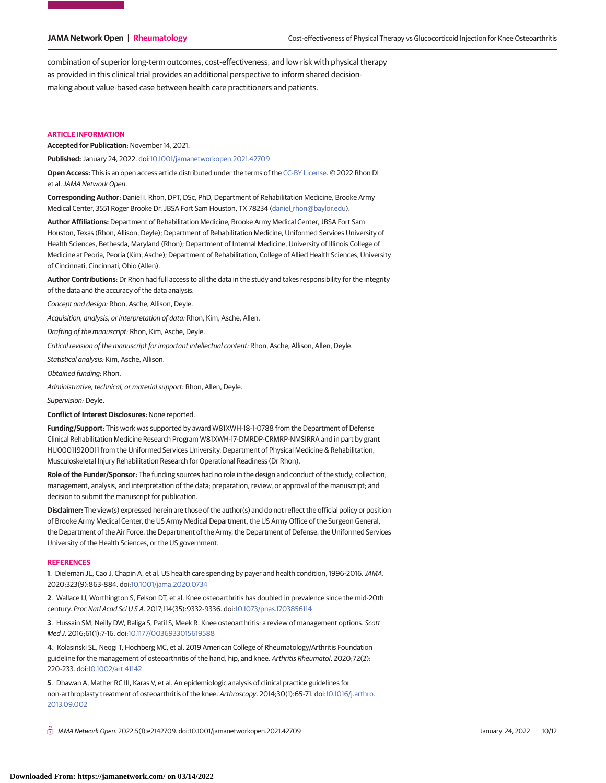combination of superior long-term outcomes, cost-effectiveness, and low risk with physical therapy as provided in this clinical trial provides an additional perspective to inform shared decisionmaking about value-based case between health care practitioners and patients.

# **ARTICLE INFORMATION**

**Accepted for Publication:** November 14, 2021.

**Published:** January 24, 2022. doi[:10.1001/jamanetworkopen.2021.42709](https://jama.jamanetwork.com/article.aspx?doi=10.1001/jamanetworkopen.2021.42709&utm_campaign=articlePDF%26utm_medium=articlePDFlink%26utm_source=articlePDF%26utm_content=jamanetworkopen.2021.42709)

**Open Access:** This is an open access article distributed under the terms of the [CC-BY License.](https://jamanetwork.com/pages/cc-by-license-permissions/?utm_campaign=articlePDF%26utm_medium=articlePDFlink%26utm_source=articlePDF%26utm_content=jamanetworkopen.2021.42709) © 2022 Rhon DI et al.JAMA Network Open.

**Corresponding Author**: Daniel I. Rhon, DPT, DSc, PhD, Department of Rehabilitation Medicine, Brooke Army Medical Center, 3551 Roger Brooke Dr, JBSA Fort Sam Houston, TX 78234 [\(daniel\\_rhon@baylor.edu\)](mailto:daniel_rhon@baylor.edu).

**Author Affiliations:** Department of Rehabilitation Medicine, Brooke Army Medical Center, JBSA Fort Sam Houston, Texas (Rhon, Allison, Deyle); Department of Rehabilitation Medicine, Uniformed Services University of Health Sciences, Bethesda, Maryland (Rhon); Department of Internal Medicine, University of Illinois College of Medicine at Peoria, Peoria (Kim, Asche); Department of Rehabilitation, College of Allied Health Sciences, University of Cincinnati, Cincinnati, Ohio (Allen).

**Author Contributions:** Dr Rhon had full access to all the data in the study and takes responsibility for the integrity of the data and the accuracy of the data analysis.

Concept and design: Rhon, Asche, Allison, Deyle.

Acquisition, analysis, or interpretation of data: Rhon, Kim, Asche, Allen.

Drafting of the manuscript: Rhon, Kim, Asche, Deyle.

Critical revision of the manuscript for important intellectual content: Rhon, Asche, Allison, Allen, Deyle.

Statistical analysis: Kim, Asche, Allison.

Obtained funding: Rhon.

Administrative, technical, or material support: Rhon, Allen, Deyle.

Supervision: Deyle.

**Conflict of Interest Disclosures:** None reported.

**Funding/Support:** This work was supported by award W81XWH-18-1-0788 from the Department of Defense Clinical Rehabilitation Medicine Research Program W81XWH-17-DMRDP-CRMRP-NMSIRRA and in part by grant HU00011920011 from the Uniformed Services University, Department of Physical Medicine & Rehabilitation, Musculoskeletal Injury Rehabilitation Research for Operational Readiness (Dr Rhon).

**Role of the Funder/Sponsor:** The funding sources had no role in the design and conduct of the study; collection, management, analysis, and interpretation of the data; preparation, review, or approval of the manuscript; and decision to submit the manuscript for publication.

**Disclaimer:** The view(s) expressed herein are those of the author(s) and do not reflect the official policy or position of Brooke Army Medical Center, the US Army Medical Department, the US Army Office of the Surgeon General, the Department of the Air Force, the Department of the Army, the Department of Defense, the Uniformed Services University of the Health Sciences, or the US government.

### **REFERENCES**

**1**. Dieleman JL, Cao J, Chapin A, et al. US health care spending by payer and health condition, 1996-2016.JAMA. 2020;323(9):863-884. doi[:10.1001/jama.2020.0734](https://jama.jamanetwork.com/article.aspx?doi=10.1001/jama.2020.0734&utm_campaign=articlePDF%26utm_medium=articlePDFlink%26utm_source=articlePDF%26utm_content=jamanetworkopen.2021.42709)

**2**. Wallace IJ, Worthington S, Felson DT, et al. Knee osteoarthritis has doubled in prevalence since the mid-20th century. Proc Natl Acad SciUSA. 2017;114(35):9332-9336. doi[:10.1073/pnas.1703856114](https://dx.doi.org/10.1073/pnas.1703856114)

**3**. Hussain SM, Neilly DW, Baliga S, Patil S, Meek R. Knee osteoarthritis: a review of management options. Scott Med J. 2016;61(1):7-16. doi[:10.1177/0036933015619588](https://dx.doi.org/10.1177/0036933015619588)

**4**. Kolasinski SL, Neogi T, Hochberg MC, et al. 2019 American College of Rheumatology/Arthritis Foundation guideline for the management of osteoarthritis of the hand, hip, and knee. Arthritis Rheumatol. 2020;72(2): 220-233. doi[:10.1002/art.41142](https://dx.doi.org/10.1002/art.41142)

**5**. Dhawan A, Mather RC III, Karas V, et al. An epidemiologic analysis of clinical practice guidelines for non-arthroplasty treatment of osteoarthritis of the knee. Arthroscopy. 2014;30(1):65-71. doi[:10.1016/j.arthro.](https://dx.doi.org/10.1016/j.arthro.2013.09.002) [2013.09.002](https://dx.doi.org/10.1016/j.arthro.2013.09.002)

 $\bigcap$  JAMA Network Open. 2022;5(1):e2142709. doi:10.1001/jamanetworkopen.2021.42709 (Berlined) January 24, 2022 10/12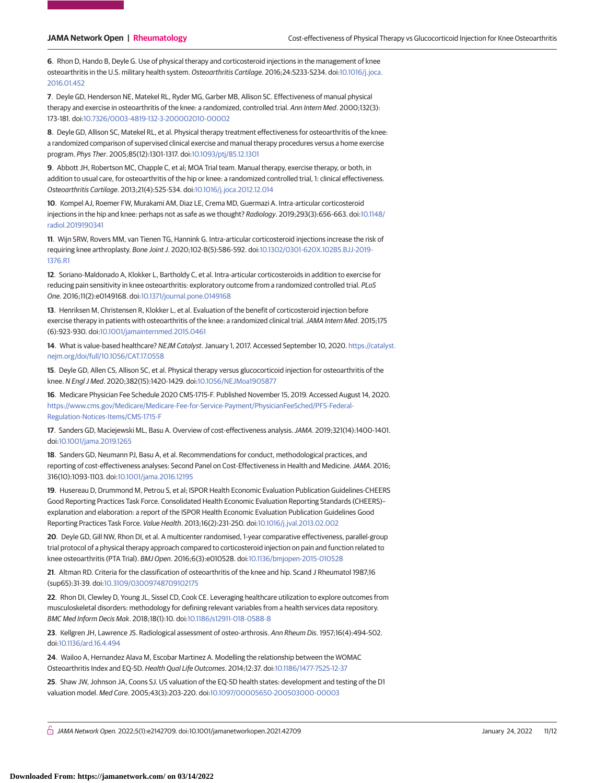**6**. Rhon D, Hando B, Deyle G. Use of physical therapy and corticosteroid injections in the management of knee osteoarthritis in the U.S. military health system. Osteoarthritis Cartilage. 2016;24:S233-S234. doi[:10.1016/j.joca.](https://dx.doi.org/10.1016/j.joca.2016.01.452) [2016.01.452](https://dx.doi.org/10.1016/j.joca.2016.01.452)

**7**. Deyle GD, Henderson NE, Matekel RL, Ryder MG, Garber MB, Allison SC. Effectiveness of manual physical therapy and exercise in osteoarthritis of the knee: a randomized, controlled trial. Ann Intern Med. 2000;132(3): 173-181. doi[:10.7326/0003-4819-132-3-200002010-00002](https://dx.doi.org/10.7326/0003-4819-132-3-200002010-00002)

**8**. Deyle GD, Allison SC, Matekel RL, et al. Physical therapy treatment effectiveness for osteoarthritis of the knee: a randomized comparison of supervised clinical exercise and manual therapy procedures versus a home exercise program. Phys Ther. 2005;85(12):1301-1317. doi[:10.1093/ptj/85.12.1301](https://dx.doi.org/10.1093/ptj/85.12.1301)

**9**. Abbott JH, Robertson MC, Chapple C, et al; MOA Trial team. Manual therapy, exercise therapy, or both, in addition to usual care, for osteoarthritis of the hip or knee: a randomized controlled trial, 1: clinical effectiveness. Osteoarthritis Cartilage. 2013;21(4):525-534. doi[:10.1016/j.joca.2012.12.014](https://dx.doi.org/10.1016/j.joca.2012.12.014)

**10**. Kompel AJ, Roemer FW, Murakami AM, Diaz LE, Crema MD, Guermazi A. Intra-articular corticosteroid injections in the hip and knee: perhaps not as safe as we thought? Radiology. 2019;293(3):656-663. doi[:10.1148/](https://dx.doi.org/10.1148/radiol.2019190341) [radiol.2019190341](https://dx.doi.org/10.1148/radiol.2019190341)

**11**. Wijn SRW, Rovers MM, van Tienen TG, Hannink G. Intra-articular corticosteroid injections increase the risk of requiring knee arthroplasty. Bone Joint J. 2020;102-B(5):586-592. doi[:10.1302/0301-620X.102B5.BJJ-2019-](https://dx.doi.org/10.1302/0301-620X.102B5.BJJ-2019-1376.R1) [1376.R1](https://dx.doi.org/10.1302/0301-620X.102B5.BJJ-2019-1376.R1)

**12**. Soriano-Maldonado A, Klokker L, Bartholdy C, et al. Intra-articular corticosteroids in addition to exercise for reducing pain sensitivity in knee osteoarthritis: exploratory outcome from a randomized controlled trial. PLoS One. 2016;11(2):e0149168. doi[:10.1371/journal.pone.0149168](https://dx.doi.org/10.1371/journal.pone.0149168)

**13**. Henriksen M, Christensen R, Klokker L, et al. Evaluation of the benefit of corticosteroid injection before exercise therapy in patients with osteoarthritis of the knee: a randomized clinical trial.JAMA Intern Med. 2015;175 (6):923-930. doi[:10.1001/jamainternmed.2015.0461](https://jama.jamanetwork.com/article.aspx?doi=10.1001/jamainternmed.2015.0461&utm_campaign=articlePDF%26utm_medium=articlePDFlink%26utm_source=articlePDF%26utm_content=jamanetworkopen.2021.42709)

**14**. What is value-based healthcare? NEJM Catalyst. January 1, 2017. Accessed September 10, 2020. [https://catalyst.](https://catalyst.nejm.org/doi/full/10.1056/CAT.17.0558) [nejm.org/doi/full/10.1056/CAT.17.0558](https://catalyst.nejm.org/doi/full/10.1056/CAT.17.0558)

**15**. Deyle GD, Allen CS, Allison SC, et al. Physical therapy versus glucocorticoid injection for osteoarthritis of the knee. N Engl J Med. 2020;382(15):1420-1429. doi[:10.1056/NEJMoa1905877](https://dx.doi.org/10.1056/NEJMoa1905877)

**16**. Medicare Physician Fee Schedule 2020 CMS-1715-F. Published November 15, 2019. Accessed August 14, 2020. [https://www.cms.gov/Medicare/Medicare-Fee-for-Service-Payment/PhysicianFeeSched/PFS-Federal-](https://www.cms.gov/Medicare/Medicare-Fee-for-Service-Payment/PhysicianFeeSched/PFS-Federal-Regulation-Notices-Items/CMS-1715-F)[Regulation-Notices-Items/CMS-1715-F](https://www.cms.gov/Medicare/Medicare-Fee-for-Service-Payment/PhysicianFeeSched/PFS-Federal-Regulation-Notices-Items/CMS-1715-F)

**17**. Sanders GD, Maciejewski ML, Basu A. Overview of cost-effectiveness analysis.JAMA. 2019;321(14):1400-1401. doi[:10.1001/jama.2019.1265](https://jama.jamanetwork.com/article.aspx?doi=10.1001/jama.2019.1265&utm_campaign=articlePDF%26utm_medium=articlePDFlink%26utm_source=articlePDF%26utm_content=jamanetworkopen.2021.42709)

**18**. Sanders GD, Neumann PJ, Basu A, et al. Recommendations for conduct, methodological practices, and reporting of cost-effectiveness analyses: Second Panel on Cost-Effectiveness in Health and Medicine.JAMA. 2016; 316(10):1093-1103. doi[:10.1001/jama.2016.12195](https://jama.jamanetwork.com/article.aspx?doi=10.1001/jama.2016.12195&utm_campaign=articlePDF%26utm_medium=articlePDFlink%26utm_source=articlePDF%26utm_content=jamanetworkopen.2021.42709)

**19**. Husereau D, Drummond M, Petrou S, et al; ISPOR Health Economic Evaluation Publication Guidelines-CHEERS Good Reporting Practices Task Force. Consolidated Health Economic Evaluation Reporting Standards (CHEERS)– explanation and elaboration: a report of the ISPOR Health Economic Evaluation Publication Guidelines Good Reporting Practices Task Force. Value Health. 2013;16(2):231-250. doi[:10.1016/j.jval.2013.02.002](https://dx.doi.org/10.1016/j.jval.2013.02.002)

**20**. Deyle GD, Gill NW, Rhon DI, et al. A multicenter randomised, 1-year comparative effectiveness, parallel-group trial protocol of a physical therapy approach compared to corticosteroid injection on pain and function related to knee osteoarthritis (PTA Trial). BMJ Open. 2016;6(3):e010528. doi[:10.1136/bmjopen-2015-010528](https://dx.doi.org/10.1136/bmjopen-2015-010528)

**21**. Altman RD. Criteria for the classification of osteoarthritis of the knee and hip. Scand J Rheumatol 1987;16 (sup65):31-39. doi[:10.3109/03009748709102175](https://dx.doi.org/10.3109/03009748709102175)

**22**. Rhon DI, Clewley D, Young JL, Sissel CD, Cook CE. Leveraging healthcare utilization to explore outcomes from musculoskeletal disorders: methodology for defining relevant variables from a health services data repository. BMC Med Inform Decis Mak. 2018;18(1):10. doi[:10.1186/s12911-018-0588-8](https://dx.doi.org/10.1186/s12911-018-0588-8)

**23**. Kellgren JH, Lawrence JS. Radiological assessment of osteo-arthrosis. Ann Rheum Dis. 1957;16(4):494-502. doi[:10.1136/ard.16.4.494](https://dx.doi.org/10.1136/ard.16.4.494)

**24**. Wailoo A, Hernandez Alava M, Escobar Martinez A. Modelling the relationship between the WOMAC Osteoarthritis Index and EQ-5D. Health Qual Life Outcomes. 2014;12:37. doi[:10.1186/1477-7525-12-37](https://dx.doi.org/10.1186/1477-7525-12-37)

**25**. Shaw JW, Johnson JA, Coons SJ. US valuation of the EQ-5D health states: development and testing of the D1 valuation model. Med Care. 2005;43(3):203-220. doi[:10.1097/00005650-200503000-00003](https://dx.doi.org/10.1097/00005650-200503000-00003)

 $\bigcap_{i=1}^{\infty}$  JAMA Network Open. 2022;5(1):e2142709. doi:10.1001/jamanetworkopen.2021.42709  $\qquad \qquad$  January 24, 2022 11/12